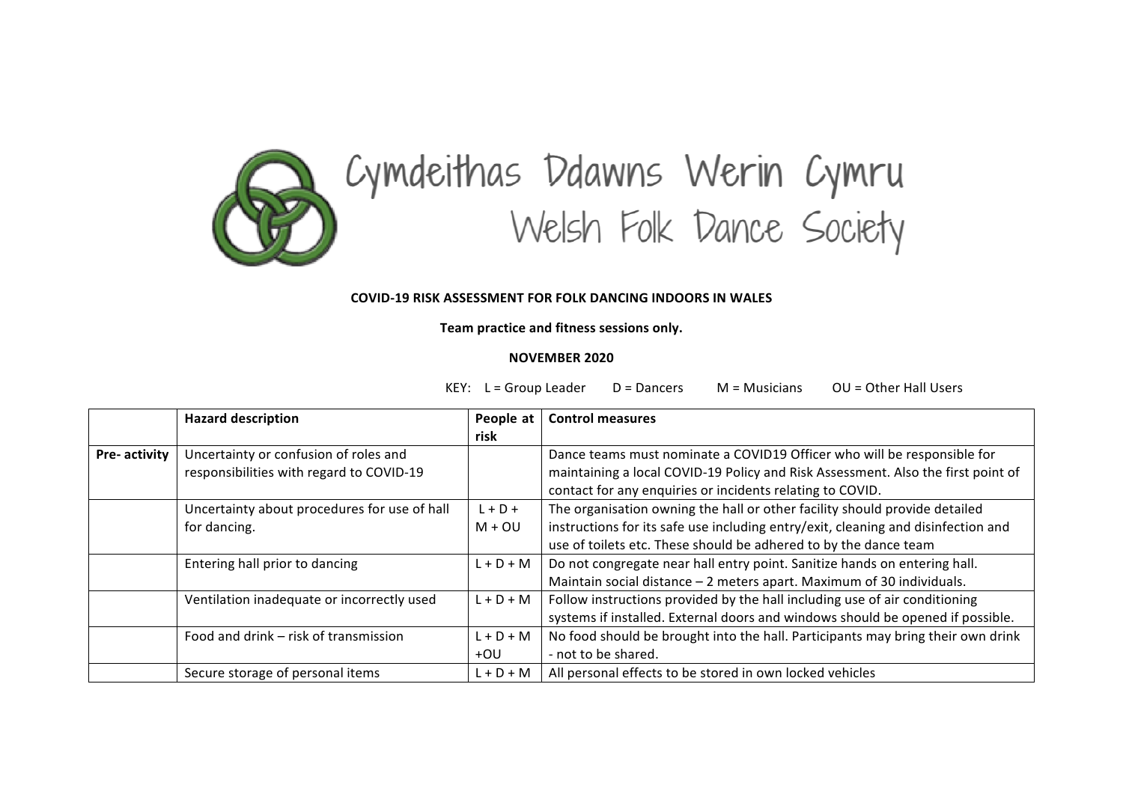

## Cymdeithas Ddawns Werin Cymru<br>Welsh Folk Dance Society

## **COVID-19 RISK ASSESSMENT FOR FOLK DANCING INDOORS IN WALES**

## Team practice and fitness sessions only.

## **NOVEMBER 2020**

KEY:  $L =$  Group Leader  $D =$  Dancers  $M =$  Musicians  $OU =$  Other Hall Users

|               | <b>Hazard description</b>                    | People at   | <b>Control measures</b>                                                           |
|---------------|----------------------------------------------|-------------|-----------------------------------------------------------------------------------|
|               |                                              | risk        |                                                                                   |
| Pre- activity | Uncertainty or confusion of roles and        |             | Dance teams must nominate a COVID19 Officer who will be responsible for           |
|               | responsibilities with regard to COVID-19     |             | maintaining a local COVID-19 Policy and Risk Assessment. Also the first point of  |
|               |                                              |             | contact for any enquiries or incidents relating to COVID.                         |
|               | Uncertainty about procedures for use of hall | $L + D +$   | The organisation owning the hall or other facility should provide detailed        |
|               | for dancing.                                 | $M + OU$    | instructions for its safe use including entry/exit, cleaning and disinfection and |
|               |                                              |             | use of toilets etc. These should be adhered to by the dance team                  |
|               | Entering hall prior to dancing               | $L + D + M$ | Do not congregate near hall entry point. Sanitize hands on entering hall.         |
|               |                                              |             | Maintain social distance - 2 meters apart. Maximum of 30 individuals.             |
|               | Ventilation inadequate or incorrectly used   | $L + D + M$ | Follow instructions provided by the hall including use of air conditioning        |
|               |                                              |             | systems if installed. External doors and windows should be opened if possible.    |
|               | Food and drink - risk of transmission        | $L + D + M$ | No food should be brought into the hall. Participants may bring their own drink   |
|               |                                              | +OU         | - not to be shared.                                                               |
|               | Secure storage of personal items             | $L + D + M$ | All personal effects to be stored in own locked vehicles                          |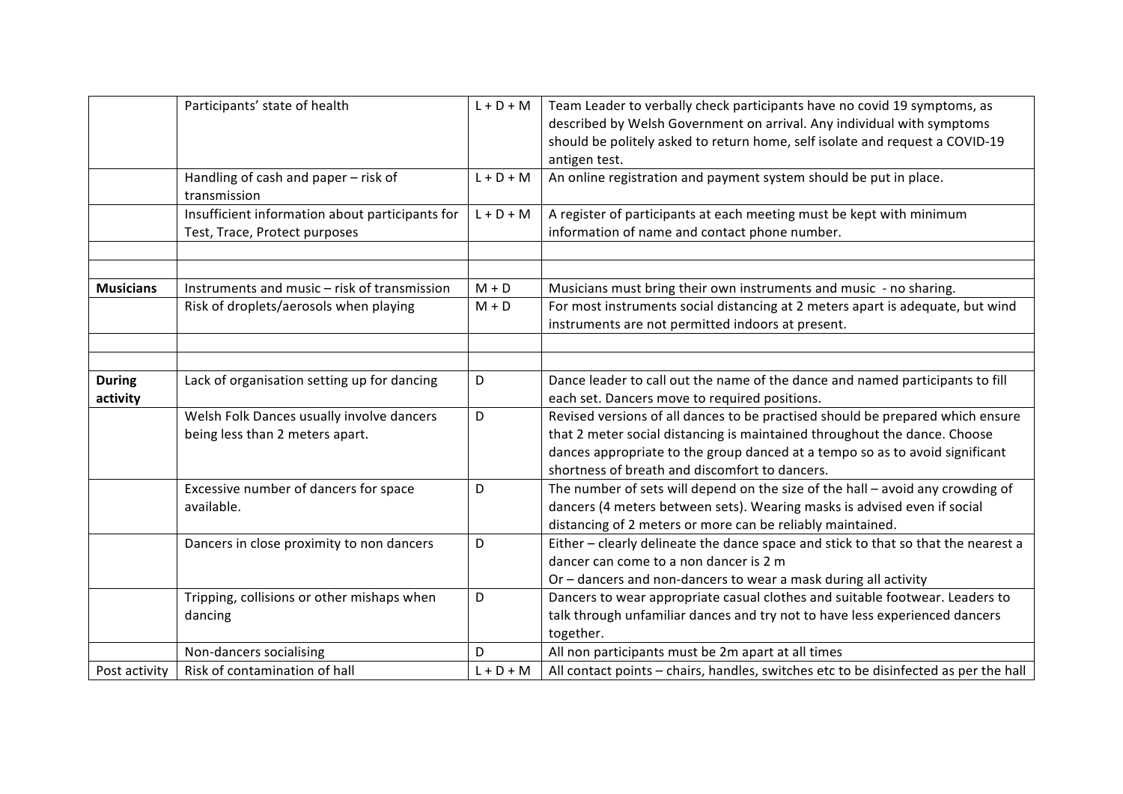|                           | Participants' state of health                                                    | $L + D + M$ | Team Leader to verbally check participants have no covid 19 symptoms, as<br>described by Welsh Government on arrival. Any individual with symptoms<br>should be politely asked to return home, self isolate and request a COVID-19<br>antigen test.                                           |
|---------------------------|----------------------------------------------------------------------------------|-------------|-----------------------------------------------------------------------------------------------------------------------------------------------------------------------------------------------------------------------------------------------------------------------------------------------|
|                           | Handling of cash and paper - risk of<br>transmission                             | $L + D + M$ | An online registration and payment system should be put in place.                                                                                                                                                                                                                             |
|                           | Insufficient information about participants for<br>Test, Trace, Protect purposes | $L + D + M$ | A register of participants at each meeting must be kept with minimum<br>information of name and contact phone number.                                                                                                                                                                         |
| <b>Musicians</b>          | Instruments and music - risk of transmission                                     | $M + D$     | Musicians must bring their own instruments and music - no sharing.                                                                                                                                                                                                                            |
|                           | Risk of droplets/aerosols when playing                                           | $M + D$     | For most instruments social distancing at 2 meters apart is adequate, but wind<br>instruments are not permitted indoors at present.                                                                                                                                                           |
|                           |                                                                                  |             |                                                                                                                                                                                                                                                                                               |
| <b>During</b><br>activity | Lack of organisation setting up for dancing                                      | D           | Dance leader to call out the name of the dance and named participants to fill<br>each set. Dancers move to required positions.                                                                                                                                                                |
|                           | Welsh Folk Dances usually involve dancers<br>being less than 2 meters apart.     | D           | Revised versions of all dances to be practised should be prepared which ensure<br>that 2 meter social distancing is maintained throughout the dance. Choose<br>dances appropriate to the group danced at a tempo so as to avoid significant<br>shortness of breath and discomfort to dancers. |
|                           | Excessive number of dancers for space<br>available.                              | D           | The number of sets will depend on the size of the hall - avoid any crowding of<br>dancers (4 meters between sets). Wearing masks is advised even if social<br>distancing of 2 meters or more can be reliably maintained.                                                                      |
|                           | Dancers in close proximity to non dancers                                        | D           | Either - clearly delineate the dance space and stick to that so that the nearest a<br>dancer can come to a non dancer is 2 m<br>Or - dancers and non-dancers to wear a mask during all activity                                                                                               |
|                           | Tripping, collisions or other mishaps when<br>dancing                            | D           | Dancers to wear appropriate casual clothes and suitable footwear. Leaders to<br>talk through unfamiliar dances and try not to have less experienced dancers<br>together.                                                                                                                      |
|                           | Non-dancers socialising                                                          | D           | All non participants must be 2m apart at all times                                                                                                                                                                                                                                            |
| Post activity             | Risk of contamination of hall                                                    | $L + D + M$ | All contact points - chairs, handles, switches etc to be disinfected as per the hall                                                                                                                                                                                                          |